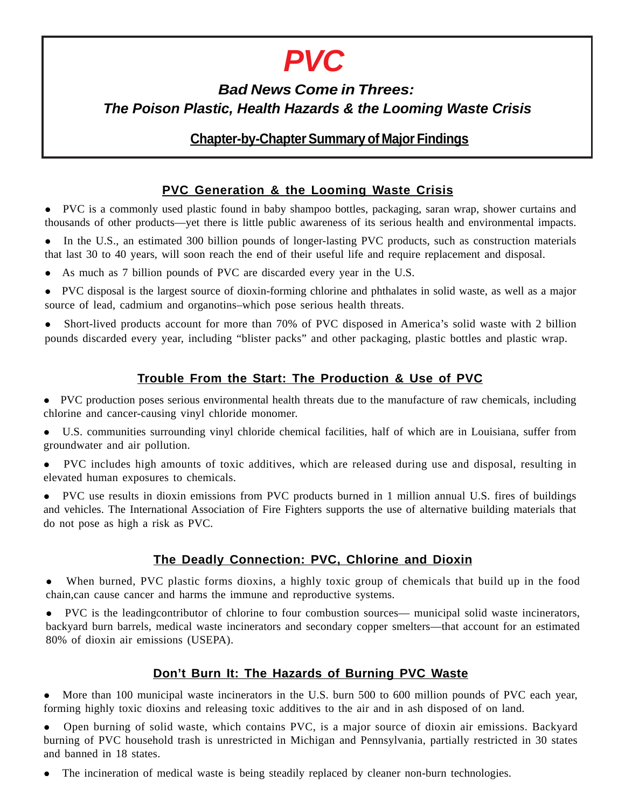# *PVC*

# *Bad News Come in Threes: The Poison Plastic, Health Hazards & the Looming Waste Crisis*

# **Chapter-by-Chapter Summary of Major Findings**

# **PVC Generation & the Looming Waste Crisis**

 PVC is a commonly used plastic found in baby shampoo bottles, packaging, saran wrap, shower curtains and thousands of other products—yet there is little public awareness of its serious health and environmental impacts.

• In the U.S., an estimated 300 billion pounds of longer-lasting PVC products, such as construction materials that last 30 to 40 years, will soon reach the end of their useful life and require replacement and disposal.

- As much as 7 billion pounds of PVC are discarded every year in the U.S.
- PVC disposal is the largest source of dioxin-forming chlorine and phthalates in solid waste, as well as a major source of lead, cadmium and organotins–which pose serious health threats.

 Short-lived products account for more than 70% of PVC disposed in America's solid waste with 2 billion pounds discarded every year, including "blister packs" and other packaging, plastic bottles and plastic wrap.

## **Trouble From the Start: The Production & Use of PVC**

 PVC production poses serious environmental health threats due to the manufacture of raw chemicals, including chlorine and cancer-causing vinyl chloride monomer.

 U.S. communities surrounding vinyl chloride chemical facilities, half of which are in Louisiana, suffer from groundwater and air pollution.

 PVC includes high amounts of toxic additives, which are released during use and disposal, resulting in elevated human exposures to chemicals.

 PVC use results in dioxin emissions from PVC products burned in 1 million annual U.S. fires of buildings and vehicles. The International Association of Fire Fighters supports the use of alternative building materials that do not pose as high a risk as PVC.

## **The Deadly Connection: PVC, Chlorine and Dioxin**

 When burned, PVC plastic forms dioxins, a highly toxic group of chemicals that build up in the food chain,can cause cancer and harms the immune and reproductive systems.

 PVC is the leadingcontributor of chlorine to four combustion sources— municipal solid waste incinerators, backyard burn barrels, medical waste incinerators and secondary copper smelters—that account for an estimated 80% of dioxin air emissions (USEPA).

## **Don't Burn It: The Hazards of Burning PVC Waste**

 More than 100 municipal waste incinerators in the U.S. burn 500 to 600 million pounds of PVC each year, forming highly toxic dioxins and releasing toxic additives to the air and in ash disposed of on land.

 Open burning of solid waste, which contains PVC, is a major source of dioxin air emissions. Backyard burning of PVC household trash is unrestricted in Michigan and Pennsylvania, partially restricted in 30 states and banned in 18 states.

The incineration of medical waste is being steadily replaced by cleaner non-burn technologies.